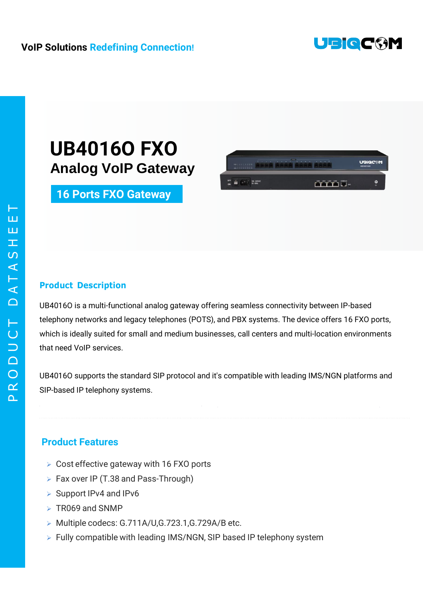

UBiQC<sup>6</sup>M

FFFBE-

### **VoIP Solutions Redefining Connection!**

## **UB4016O FXO Analog VoIP Gateway**

## **16 Ports FXO Gateway**

#### **Product Description**

UB4016O is a multi-functional analog gateway offering seamless connectivity between IP-based telephony networks and legacy telephones (POTS), and PBX systems. The device offers 16 FXO ports, which is ideally suited for small and medium businesses, call centers and multi-location environments that need VoIP services.

THUR GEAR RASA A

UB4016O supports the standard SIP protocol and it's compatible with leading IMS/NGN platforms and SIP-based IP telephony systems.

#### **Product Features**

- $\triangleright$  Cost effective gateway with 16 FXO ports
- ▶ Fax over IP (T.38 and Pass-Through)
- $\triangleright$  Support IPv4 and IPv6
- $\triangleright$  TR069 and SNMP
- ▶ Multiple codecs: G.711A/U,G.723.1,G.729A/B etc.
- $\triangleright$  Fully compatible with leading IMS/NGN, SIP based IP telephony system